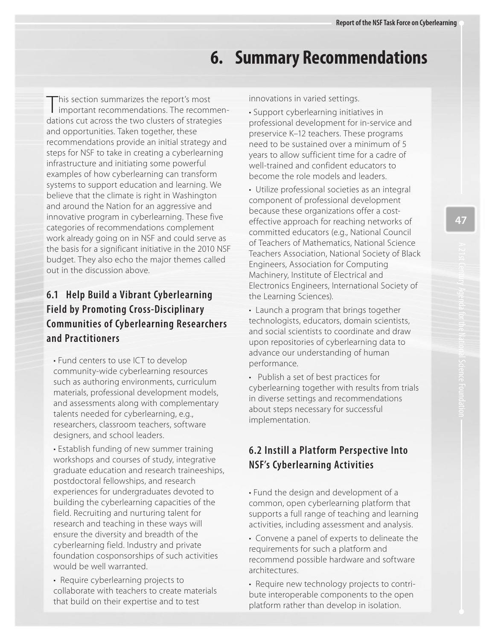# **6. Summary Recommendations**

This section summarizes the report's most<br>important recommendations. The recomment and opportunities. Taken together, these infrastructure and initiating some powerful examples of how cyberlearning can transform systems to support education and learning. We and around the Nation for an aggressive and categories of recommendations complement budget. They also echo the major themes called I important recommendations. The recommendations cut across the two clusters of strategies recommendations provide an initial strategy and steps for NSF to take in creating a cyberlearning believe that the climate is right in Washington innovative program in cyberlearning. These five work already going on in NSF and could serve as the basis for a significant initiative in the 2010 NSF out in the discussion above.

## **6.1 Help Build a Vibrant Cyberlearning Field by Promoting Cross-Disciplinary Communities of Cyberlearning Researchers and Practitioners**

 • Fund centers to use ICT to develop and assessments along with complementary researchers, classroom teachers, software community-wide cyberlearning resources such as authoring environments, curriculum materials, professional development models, talents needed for cyberlearning, e.g., designers, and school leaders.

 workshops and courses of study, integrative graduate education and research traineeships, postdoctoral fellowships, and research experiences for undergraduates devoted to research and teaching in these ways will cyberlearning field. Industry and private foundation cosponsorships of such activities • Establish funding of new summer training building the cyberlearning capacities of the field. Recruiting and nurturing talent for ensure the diversity and breadth of the would be well warranted.

 • Require cyberlearning projects to collaborate with teachers to create materials that build on their expertise and to test

innovations in varied settings.

 • Support cyberlearning initiatives in professional development for in-service and preservice K–12 teachers. These programs need to be sustained over a minimum of 5 years to allow sufficient time for a cadre of well-trained and confident educators to become the role models and leaders.

 • Utilize professional societies as an integral component of professional development effective approach for reaching networks of committed educators (e.g., National Council Engineers, Association for Computing Machinery, Institute of Electrical and because these organizations offer a costof Teachers of Mathematics, National Science Teachers Association, National Society of Black Electronics Engineers, International Society of the Learning Sciences).

 • Launch a program that brings together technologists, educators, domain scientists, and social scientists to coordinate and draw upon repositories of cyberlearning data to advance our understanding of human performance.

 about steps necessary for successful • Publish a set of best practices for cyberlearning together with results from trials in diverse settings and recommendations implementation.

### **6.2 Instill a Platform Perspective Into NSF's Cyberlearning Activities**

 • Fund the design and development of a common, open cyberlearning platform that supports a full range of teaching and learning activities, including assessment and analysis.

 • Convene a panel of experts to delineate the requirements for such a platform and recommend possible hardware and software architectures.

 bute interoperable components to the open • Require new technology projects to contriplatform rather than develop in isolation.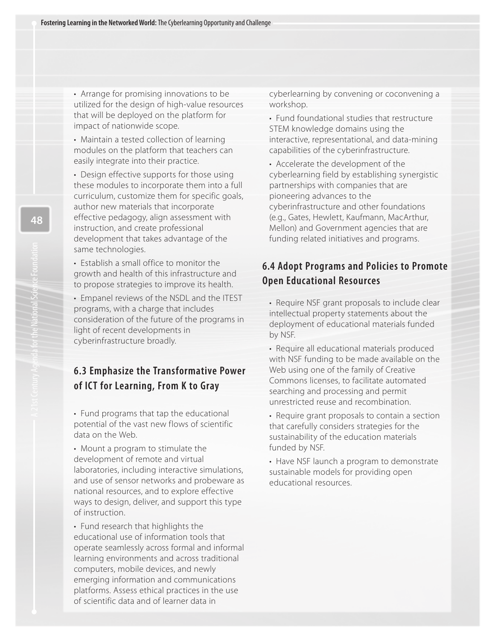that will be deployed on the platform for • Arrange for promising innovations to be utilized for the design of high-value resources impact of nationwide scope.

 • Maintain a tested collection of learning modules on the platform that teachers can easily integrate into their practice.

 these modules to incorporate them into a full curriculum, customize them for specific goals, effective pedagogy, align assessment with instruction, and create professional • Design effective supports for those using author new materials that incorporate development that takes advantage of the same technologies.

• Establish a small office to monitor the growth and health of this infrastructure and to propose strategies to improve its health.

 consideration of the future of the programs in light of recent developments in • Empanel reviews of the NSDL and the ITEST programs, with a charge that includes cyberinfrastructure broadly.

#### **6.3 Emphasize the Transformative Power of ICT for Learning, From K to Gray**

 • Fund programs that tap the educational potential of the vast new flows of scientific data on the Web.

 • Mount a program to stimulate the development of remote and virtual laboratories, including interactive simulations, and use of sensor networks and probeware as ways to design, deliver, and support this type national resources, and to explore effective of instruction.

 • Fund research that highlights the educational use of information tools that operate seamlessly across formal and informal computers, mobile devices, and newly emerging information and communications platforms. Assess ethical practices in the use of scientific data and of learner data in learning environments and across traditional

 cyberlearning by convening or coconvening a workshop.

 • Fund foundational studies that restructure interactive, representational, and data-mining STEM knowledge domains using the capabilities of the cyberinfrastructure.

 • Accelerate the development of the partnerships with companies that are pioneering advances to the cyberinfrastructure and other foundations (e.g., Gates, Hewlett, Kaufmann, MacArthur, Mellon) and Government agencies that are cyberlearning field by establishing synergistic funding related initiatives and programs.

#### **6.4 Adopt Programs and Policies to Promote Open Educational Resources**

• Require NSF grant proposals to include clear intellectual property statements about the deployment of educational materials funded by NSF.

 • Require all educational materials produced Commons licenses, to facilitate automated searching and processing and permit with NSF funding to be made available on the Web using one of the family of Creative unrestricted reuse and recombination.

 that carefully considers strategies for the sustainability of the education materials funded by NSF. • Require grant proposals to contain a section

 • Have NSF launch a program to demonstrate sustainable models for providing open educational resources.